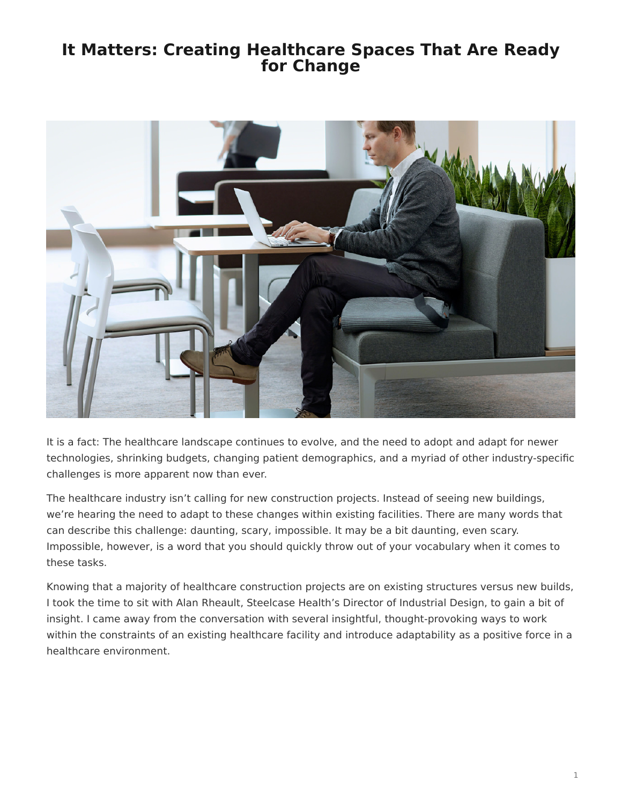## <span id="page-0-0"></span>**It Matters: Creating Healthcare Spaces That Are Ready for Change**



It is a fact: The healthcare landscape continues to evolve, and the need to adopt and adapt for newer technologies, shrinking budgets, changing patient demographics, and a myriad of other industry-specific challenges is more apparent now than ever.

The healthcare industry isn't calling for new construction projects. Instead of seeing new buildings, we're hearing the need to adapt to these changes within existing facilities. There are many words that can describe this challenge: daunting, scary, impossible. It may be a bit daunting, even scary. Impossible, however, is a word that you should quickly throw out of your vocabulary when it comes to these tasks.

Knowing that a majority of healthcare construction projects are on existing structures versus new builds, I took the time to sit with Alan Rheault, Steelcase Health's Director of Industrial Design, to gain a bit of insight. I came away from the conversation with several insightful, thought-provoking ways to work within the constraints of an existing healthcare facility and introduce adaptability as a positive force in a healthcare environment.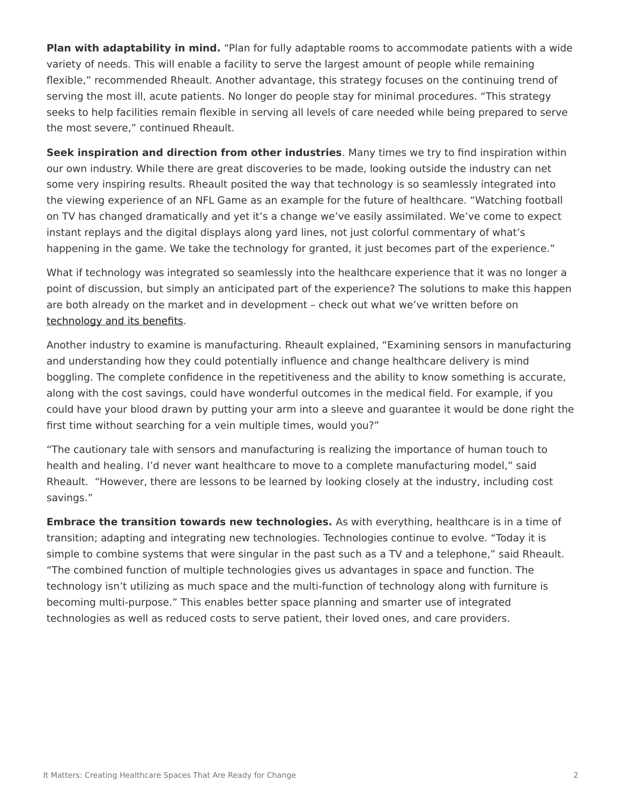**Plan with adaptability in mind.** "Plan for fully adaptable rooms to accommodate patients with a wide variety of needs. This will enable a facility to serve the largest amount of people while remaining flexible," recommended Rheault. Another advantage, this strategy focuses on the continuing trend of serving the most ill, acute patients. No longer do people stay for minimal procedures. "This strategy seeks to help facilities remain flexible in serving all levels of care needed while being prepared to serve the most severe," continued Rheault.

**Seek inspiration and direction from other industries**. Many times we try to find inspiration within our own industry. While there are great discoveries to be made, looking outside the industry can net some very inspiring results. Rheault posited the way that technology is so seamlessly integrated into the viewing experience of an NFL Game as an example for the future of healthcare. "Watching football on TV has changed dramatically and yet it's a change we've easily assimilated. We've come to expect instant replays and the digital displays along yard lines, not just colorful commentary of what's happening in the game. We take the technology for granted, it just becomes part of the experience."

What if technology was integrated so seamlessly into the healthcare experience that it was no longer a point of discussion, but simply an anticipated part of the experience? The solutions to make this happen are both already on the market and in development – check out what we've written before on [technology and its benefits](https://www.steelcase.com/posts/personalized-medicine-and-new-technology-is-changing-patient-care/).

Another industry to examine is manufacturing. Rheault explained, "Examining sensors in manufacturing and understanding how they could potentially influence and change healthcare delivery is mind boggling. The complete confidence in the repetitiveness and the ability to know something is accurate, along with the cost savings, could have wonderful outcomes in the medical field. For example, if you could have your blood drawn by putting your arm into a sleeve and guarantee it would be done right the first time without searching for a vein multiple times, would you?"

"The cautionary tale with sensors and manufacturing is realizing the importance of human touch to health and healing. I'd never want healthcare to move to a complete manufacturing model," said Rheault. "However, there are lessons to be learned by looking closely at the industry, including cost savings."

**Embrace the transition towards new technologies.** As with everything, healthcare is in a time of transition; adapting and integrating new technologies. Technologies continue to evolve. "Today it is simple to combine systems that were singular in the past such as a TV and a telephone," said Rheault. "The combined function of multiple technologies gives us advantages in space and function. The technology isn't utilizing as much space and the multi-function of technology along with furniture is becoming multi-purpose." This enables better space planning and smarter use of integrated technologies as well as reduced costs to serve patient, their loved ones, and care providers.